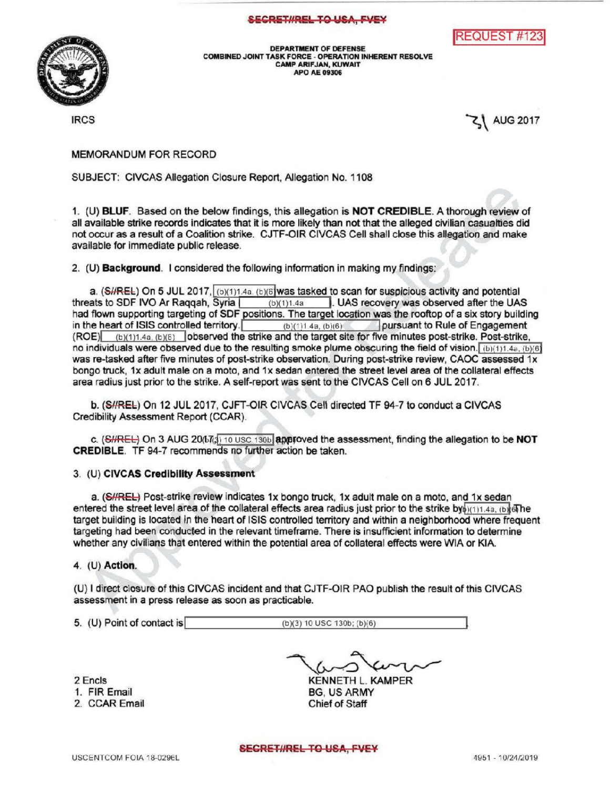## SECRET#REL TO USA, FVEY





DEPARTMENT OF DEFENSE COMBINED JOINT TASKFORCE- OPERATION INHERENT RESOLVE **CAMP ARIFJAN, KUWAIT** APO AE 09306

 $\sim$  1 AUG 2017

MEMORANDUM FOR RECORD

SUBJECT: CIVCAS Allegation Closure Report, Allegation No. 1108

1. (U) BLUF. Based on the below findings, this allegation is NOTCREDIBLE. A thorough reviewof all available strike records indicates that it is more likely than not that the alleged civilian casualties did not occur as a result of a Coalition strike. CJTF-OIR CIVCAS Cell shall close this allegation and make available for immediate public release.

2. (U) Background. I considered the following information in making my findings:

a. (SHREL) On 5 JUL 2017,  $\frac{(b)(1)1.4a}{(b)(1)1.4a}$ ,  $\frac{(b)(6)}{1.4a}$  to scan for suspicious activity and potential threats to SDF IVO Ar Raggah. Syria  $\frac{1}{(b)(1)1.4a}$ . UAS recovery was observed after the UAS  $(b)(1)1.4a$  . UAS recovery was observed after the UAS had flown supporting targeting of SDF positions. The target location was the rooftop of a six story building in the heart of ISIS controlled territory.  $\frac{(b)(1)1.4a, (b)(6)}{(c)(1)1.4a, (b)(6)}$  pursuant to Rule of Engagement (ROE) (b)(1)1.4a, (b)(6) (b)(1)1.4a, (b)(6) observed the strike and the target site for five minutes post-strike. Post-strike, no individuals were observed due to the resulting smoke plume obscuring the field of vision.  $(b)(1)1.4a, (b)(6)$ was re-tasked after five minutes of post-strike observation. During post-strike review, CAOC assessed 1x bongo truck, 1x adult male on a moto, and 1x sedan entered the street level area of the collateral effects area radius just prior to the strike. A self-report was sent to the CIVCAS Cell on 6 JUL 2017.

b. (S#REL) On 12 JUL 2017, CJFT-OIR CIVCAS Cell directed TF 94-7 to conduct a CIVCAS Credibility Assessment Report (CCAR)

c.  $(SHREE)$  On 3 AUG 20( $bT<sub>13</sub>$ ) 10 USC 130b approved the assessment, finding the allegation to be NOT CREDIBLE. TF 94-7 recommends no further action be taken.

## 3. (U) CIVCAS Credibility Assessment

a. (SHREL) Post-strike review indicates 1x bongo truck, 1x adult male on a moto, and 1x sedan entered the street level area of the collateral effects area radius just prior to the strike by  $\phi(1)1.4a$ , (b)  $\delta$ he target building is located in the heart of ISIS controlled territory and within a neighborhood where frequent targeting had been conducted in the relevant timeframe. There is insufficient information to determine whether any civilians that entered within the potential area of collateral effects were WIA or KIA.

4. (U) Action

(U) direct closure of this CIVCAS incident and that CJTF -OIR PAO publish the result of this CIVCAS assessment in a press release as soon as practicable.

5. (U) Point of contact is (b)(3) 10 USC 130b; (b)(6)

2 Encls 1. FIREmail 2. CCAREmail

KENNETH L. KAMPER **BG, US ARMY** Chief of Staff

SECRET#REL TO USA, FVEY